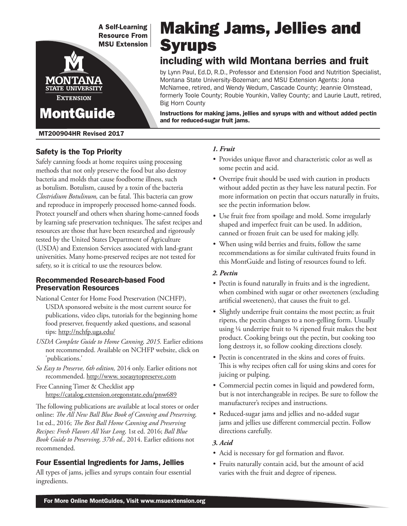**A Self-Learning Resource From MSU Extension** 

# Making Jams, Jellies and **Syrups**

# including with wild Montana berries and fruit

by Lynn Paul, Ed.D, R.D., Professor and Extension Food and Nutrition Specialist, Montana State University-Bozeman; and MSU Extension Agents: Jona McNamee, retired, and Wendy Wedum, Cascade County; Jeannie Olmstead, formerly Toole County; Roubie Younkin, Valley County; and Laurie Lautt, retired, Big Horn County

Instructions for making jams, jellies and syrups with and without added pectin and for reduced-sugar fruit jams.

MT200904HR Revised 2017

**MontGuide** 

**STATE UNIVERSITY EXTENSION** 

# Safety is the Top Priority

Safely canning foods at home requires using processing methods that not only preserve the food but also destroy bacteria and molds that cause foodborne illness, such as botulism. Botulism, caused by a toxin of the bacteria *Clostridium Botulinum,* can be fatal. This bacteria can grow and reproduce in improperly processed home-canned foods. Protect yourself and others when sharing home-canned foods by learning safe preservation techniques. The safest recipes and resources are those that have been researched and rigorously tested by the United States Department of Agriculture (USDA) and Extension Services associated with land-grant universities. Many home-preserved recipes are not tested for safety, so it is critical to use the resources below.

#### Recommended Research-based Food Preservation Resources

- National Center for Home Food Preservation (NCHFP), USDA sponsored website is the most current source for publications, video clips, tutorials for the beginning home food preserver, frequently asked questions, and seasonal tips: http://nchfp.uga.edu/
- *USDA Complete Guide to Home Canning, 2015.* Earlier editions not recommended. Available on NCHFP website, click on 'publications.'
- *So Easy to Preserve, 6th edition,* 2014 only. Earlier editions not recommended. http://www. soeasytopreserve.com

Free Canning Timer & Checklist app https://catalog.extension.oregonstate.edu/pnw689

The following publications are available at local stores or order online: *The All New Ball Blue Book of Canning and Preserving,* 1st ed., 2016; *The Best Ball Home Canning and Preserving Recipes: Fresh Flavors All Year Long,* 1st ed. 2016; *Ball Blue Book Guide to Preserving, 37th ed.,* 2014. Earlier editions not recommended.

### Four Essential Ingredients for Jams, Jellies

All types of jams, jellies and syrups contain four essential ingredients.

#### *1. Fruit*

- Provides unique flavor and characteristic color as well as some pectin and acid.
- Overripe fruit should be used with caution in products without added pectin as they have less natural pectin. For more information on pectin that occurs naturally in fruits, see the pectin information below.
- Use fruit free from spoilage and mold. Some irregularly shaped and imperfect fruit can be used. In addition, canned or frozen fruit can be used for making jelly.
- When using wild berries and fruits, follow the same recommendations as for similar cultivated fruits found in this MontGuide and listing of resources found to left.

#### *2. Pectin*

- Pectin is found naturally in fruits and is the ingredient, when combined with sugar or other sweeteners (excluding artificial sweeteners), that causes the fruit to gel.
- Slightly underripe fruit contains the most pectin; as fruit ripens, the pectin changes to a non-gelling form. Usually using ¼ underripe fruit to ¾ ripened fruit makes the best product. Cooking brings out the pectin, but cooking too long destroys it, so follow cooking directions closely.
- Pectin is concentrated in the skins and cores of fruits. This is why recipes often call for using skins and cores for juicing or pulping.
- Commercial pectin comes in liquid and powdered form, but is not interchangeable in recipes. Be sure to follow the manufacturer's recipes and instructions.
- Reduced-sugar jams and jellies and no-added sugar jams and jellies use different commercial pectin. Follow directions carefully.

#### *3. Acid*

- Acid is necessary for gel formation and flavor.
- Fruits naturally contain acid, but the amount of acid varies with the fruit and degree of ripeness.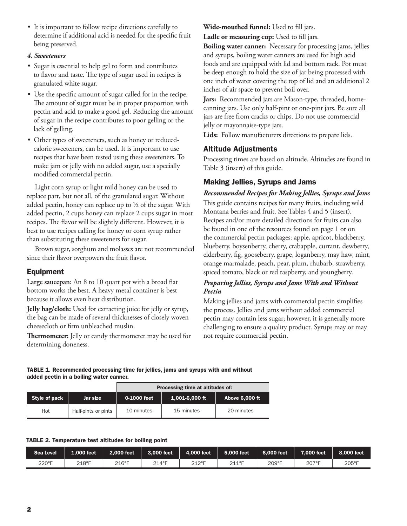• It is important to follow recipe directions carefully to determine if additional acid is needed for the specific fruit being preserved.

#### *4. Sweeteners*

- Sugar is essential to help gel to form and contributes to flavor and taste. The type of sugar used in recipes is granulated white sugar.
- Use the specific amount of sugar called for in the recipe. The amount of sugar must be in proper proportion with pectin and acid to make a good gel. Reducing the amount of sugar in the recipe contributes to poor gelling or the lack of gelling.
- Other types of sweeteners, such as honey or reducedcalorie sweeteners, can be used. It is important to use recipes that have been tested using these sweeteners. To make jam or jelly with no added sugar, use a specially modified commercial pectin.

Light corn syrup or light mild honey can be used to replace part, but not all, of the granulated sugar. Without added pectin, honey can replace up to  $\frac{1}{2}$  of the sugar. With added pectin, 2 cups honey can replace 2 cups sugar in most recipes. The flavor will be slightly different. However, it is best to use recipes calling for honey or corn syrup rather than substituting these sweeteners for sugar.

Brown sugar, sorghum and molasses are not recommended since their flavor overpowers the fruit flavor.

#### Equipment

**Large saucepan:** An 8 to 10 quart pot with a broad flat bottom works the best. A heavy metal container is best because it allows even heat distribution.

**Jelly bag/cloth:** Used for extracting juice for jelly or syrup, the bag can be made of several thicknesses of closely woven cheesecloth or firm unbleached muslin.

**Thermometer:** Jelly or candy thermometer may be used for determining doneness.

**Wide-mouthed funnel:** Used to fill jars. **Ladle or measuring cup:** Used to fill jars.

**Boiling water canner:** Necessary for processing jams, jellies and syrups, boiling water canners are used for high acid foods and are equipped with lid and bottom rack. Pot must be deep enough to hold the size of jar being processed with one inch of water covering the top of lid and an additional 2 inches of air space to prevent boil over.

**Jars:** Recommended jars are Mason-type, threaded, homecanning jars. Use only half-pint or one-pint jars. Be sure all jars are free from cracks or chips. Do not use commercial jelly or mayonnaise-type jars.

**Lids:** Follow manufacturers directions to prepare lids.

#### Altitude Adjustments

Processing times are based on altitude. Altitudes are found in Table 3 (insert) of this guide.

#### Making Jellies, Syrups and Jams

#### *Recommended Recipes for Making Jellies, Syrups and Jams*

This guide contains recipes for many fruits, including wild Montana berries and fruit. See Tables 4 and 5 (insert). Recipes and/or more detailed directions for fruits can also be found in one of the resources found on page 1 or on the commercial pectin packages: apple, apricot, blackberry, blueberry, boysenberry, cherry, crabapple, currant, dewberry, elderberry, fig, gooseberry, grape, loganberry, may haw, mint, orange marmalade, peach, pear, plum, rhubarb, strawberry, spiced tomato, black or red raspberry, and youngberry.

#### *Preparing Jellies, Syrups and Jams With and Without Pectin*

Making jellies and jams with commercial pectin simplifies the process. Jellies and jams without added commercial pectin may contain less sugar; however, it is generally more challenging to ensure a quality product. Syrups may or may not require commercial pectin.

TABLE 1. Recommended processing time for jellies, jams and syrups with and without added pectin in a boiling water canner.

|                      |                     |             | Processing time at altitudes of: |                       |
|----------------------|---------------------|-------------|----------------------------------|-----------------------|
| <b>Style of pack</b> | Jar size            | 0-1000 feet | 1,001-6,000 ft                   | <b>Above 6,000 ft</b> |
| Hot                  | Half-pints or pints | 10 minutes  | 15 minutes                       | 20 minutes            |

#### TABLE 2. Temperature test altitudes for boiling point

| <b>Sea Level</b> | 1.000 feet | 2.000 feet | 3,000 feet | 4,000 feet | 5.000 feet | 6,000 feet | 7.000 feet | 8,000 feet |
|------------------|------------|------------|------------|------------|------------|------------|------------|------------|
| 220°F            | 218°F      | 216°F      | 214°F      | 2120E      | 2110E      | 209°F      | 207°F      | 205°F      |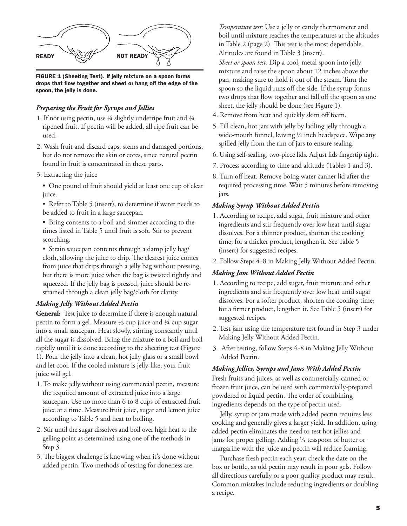

FIGURE 1 (Sheeting Test). If jelly mixture on a spoon forms drops that flow together and sheet or hang off the edge of the spoon, the jelly is done.

#### *Preparing the Fruit for Syrups and Jellies*

- 1. If not using pectin, use ¼ slightly underripe fruit and ¾ ripened fruit. If pectin will be added, all ripe fruit can be used.
- 2. Wash fruit and discard caps, stems and damaged portions, but do not remove the skin or cores, since natural pectin found in fruit is concentrated in these parts.
- 3. Extracting the juice
	- One pound of fruit should yield at least one cup of clear juice.

• Refer to Table 5 (insert), to determine if water needs to be added to fruit in a large saucepan.

• Bring contents to a boil and simmer according to the times listed in Table 5 until fruit is soft. Stir to prevent scorching.

• Strain saucepan contents through a damp jelly bag/ cloth, allowing the juice to drip. The clearest juice comes from juice that drips through a jelly bag without pressing, but there is more juice when the bag is twisted tightly and squeezed. If the jelly bag is pressed, juice should be restrained through a clean jelly bag/cloth for clarity.

#### *Making Jelly Without Added Pectin*

**General:** Test juice to determine if there is enough natural pectin to form a gel. Measure ⅓ cup juice and ¼ cup sugar into a small saucepan. Heat slowly, stirring constantly until all the sugar is dissolved. Bring the mixture to a boil and boil rapidly until it is done according to the sheeting test (Figure 1). Pour the jelly into a clean, hot jelly glass or a small bowl and let cool. If the cooled mixture is jelly-like, your fruit juice will gel.

- 1. To make jelly without using commercial pectin, measure the required amount of extracted juice into a large saucepan. Use no more than 6 to 8 cups of extracted fruit juice at a time. Measure fruit juice, sugar and lemon juice according to Table 5 and heat to boiling.
- 2. Stir until the sugar dissolves and boil over high heat to the gelling point as determined using one of the methods in Step 3.
- 3. The biggest challenge is knowing when it's done without added pectin. Two methods of testing for doneness are:

*Temperature test:* Use a jelly or candy thermometer and boil until mixture reaches the temperatures at the altitudes in Table 2 (page 2). This test is the most dependable. Altitudes are found in Table 3 (insert).

*Sheet or spoon test:* Dip a cool, metal spoon into jelly mixture and raise the spoon about 12 inches above the pan, making sure to hold it out of the steam. Turn the spoon so the liquid runs off the side. If the syrup forms two drops that flow together and fall off the spoon as one sheet, the jelly should be done (see Figure 1).

- 4. Remove from heat and quickly skim off foam.
- 5. Fill clean, hot jars with jelly by ladling jelly through a wide-mouth funnel, leaving ¼ inch headspace. Wipe any spilled jelly from the rim of jars to ensure sealing.
- 6. Using self-sealing, two-piece lids. Adjust lids fingertip tight.
- 7. Process according to time and altitude (Tables 1 and 3).
- 8. Turn off heat. Remove boing water canner lid after the required processing time. Wait 5 minutes before removing jars.

#### *Making Syrup Without Added Pectin*

- 1. According to recipe, add sugar, fruit mixture and other ingredients and stir frequently over low heat until sugar dissolves. For a thinner product, shorten the cooking time; for a thicker product, lengthen it. See Table 5 (insert) for suggested recipes.
- 2. Follow Steps 4-8 in Making Jelly Without Added Pectin.

#### *Making Jam Without Added Pectin*

- 1. According to recipe, add sugar, fruit mixture and other ingredients and stir frequently over low heat until sugar dissolves. For a softer product, shorten the cooking time; for a firmer product, lengthen it. See Table 5 (insert) for suggested recipes.
- 2. Test jam using the temperature test found in Step 3 under Making Jelly Without Added Pectin.
- 3. After testing, follow Steps 4-8 in Making Jelly Without Added Pectin.

#### *Making Jellies, Syrups and Jams With Added Pectin*

Fresh fruits and juices, as well as commercially-canned or frozen fruit juice, can be used with commercially-prepared powdered or liquid pectin. The order of combining ingredients depends on the type of pectin used.

Jelly, syrup or jam made with added pectin requires less cooking and generally gives a larger yield. In addition, using added pectin eliminates the need to test hot jellies and jams for proper gelling. Adding ¼ teaspoon of butter or margarine with the juice and pectin will reduce foaming.

Purchase fresh pectin each year; check the date on the box or bottle, as old pectin may result in poor gels. Follow all directions carefully or a poor quality product may result. Common mistakes include reducing ingredients or doubling a recipe.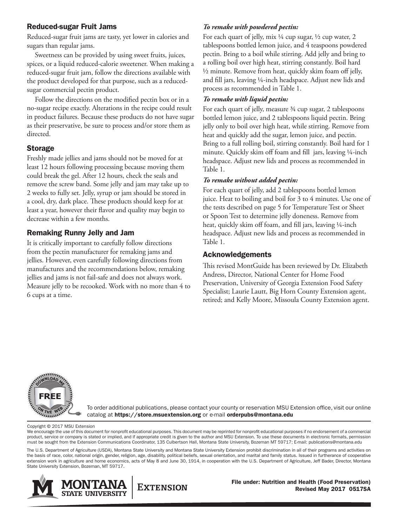#### Reduced-sugar Fruit Jams

Reduced-sugar fruit jams are tasty, yet lower in calories and sugars than regular jams.

Sweetness can be provided by using sweet fruits, juices, spices, or a liquid reduced-calorie sweetener. When making a reduced-sugar fruit jam, follow the directions available with the product developed for that purpose, such as a reducedsugar commercial pectin product.

Follow the directions on the modified pectin box or in a no-sugar recipe exactly. Alterations in the recipe could result in product failures. Because these products do not have sugar as their preservative, be sure to process and/or store them as directed.

# Storage

Freshly made jellies and jams should not be moved for at least 12 hours following processing because moving them could break the gel. After 12 hours, check the seals and remove the screw band. Some jelly and jam may take up to 2 weeks to fully set. Jelly, syrup or jam should be stored in a cool, dry, dark place. These products should keep for at least a year, however their flavor and quality may begin to decrease within a few months.

# Remaking Runny Jelly and Jam

It is critically important to carefully follow directions from the pectin manufacturer for remaking jams and jellies. However, even carefully following directions from manufactures and the recommendations below, remaking jellies and jams is not fail-safe and does not always work. Measure jelly to be recooked. Work with no more than 4 to 6 cups at a time.

# *To remake with powdered pectin:*

For each quart of jelly, mix  $\frac{1}{4}$  cup sugar,  $\frac{1}{2}$  cup water, 2 tablespoons bottled lemon juice, and 4 teaspoons powdered pectin. Bring to a boil while stirring. Add jelly and bring to a rolling boil over high heat, stirring constantly. Boil hard  $\frac{1}{2}$  minute. Remove from heat, quickly skim foam off jelly, and fill jars, leaving ¼-inch headspace. Adjust new lids and process as recommended in Table 1.

## *To remake with liquid pectin:*

For each quart of jelly, measure 3⁄4 cup sugar, 2 tablespoons bottled lemon juice, and 2 tablespoons liquid pectin. Bring jelly only to boil over high heat, while stirring. Remove from heat and quickly add the sugar, lemon juice, and pectin. Bring to a full rolling boil, stirring constantly. Boil hard for 1 minute. Quickly skim off foam and fill jars, leaving ¼-inch headspace. Adjust new lids and process as recommended in Table 1.

# *To remake without added pectin:*

For each quart of jelly, add 2 tablespoons bottled lemon juice. Heat to boiling and boil for 3 to 4 minutes. Use one of the tests described on page 5 for Temperature Test or Sheet or Spoon Test to determine jelly doneness. Remove from heat, quickly skim off foam, and fill jars, leaving 1/4-inch headspace. Adjust new lids and process as recommended in Table 1.

# Acknowledgements

This revised MontGuide has been reviewed by Dr. Elizabeth Andress, Director, National Center for Home Food Preservation, University of Georgia Extension Food Safety Specialist; Laurie Lautt, Big Horn County Extension agent, retired; and Kelly Moore, Missoula County Extension agent.



To order additional publications, please contact your county or reservation MSU Extension office, visit our online catalog at https://store.msuextension.org or e-mail orderpubs@montana.edu

Copyright © 2017 MSU Extension

We encourage the use of this document for nonprofit educational purposes. This document may be reprinted for nonprofit educational purposes if no endorsement of a commercial product, service or company is stated or implied, and if appropriate credit is given to the author and MSU Extension. To use these documents in electronic formats, permission must be sought from the Extension Communications Coordinator, 135 Culbertson Hall, Montana State University, Bozeman MT 59717; E-mail: publications@montana.edu

The U.S. Department of Agriculture (USDA), Montana State University and Montana State University Extension prohibit discrimination in all of their programs and activities on the basis of race, color, national origin, gender, religion, age, disability, political beliefs, sexual orientation, and marital and family status. Issued in furtherance of cooperative extension work in agriculture and home economics, acts of May 8 and June 30, 1914, in cooperation with the U.S. Department of Agriculture, Jeff Bader, Director, Montana State University Extension, Bozeman, MT 59717.



File under: Nutrition and Health (Food Preservation) Revised May 2017 0517SA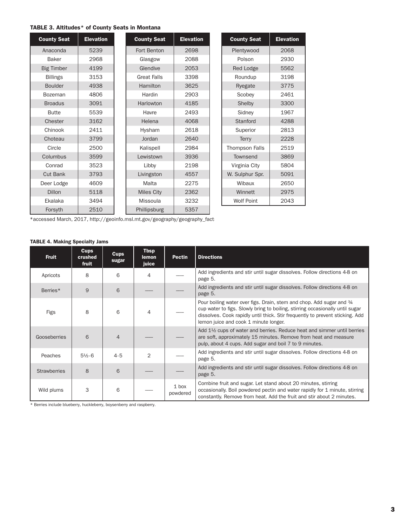#### TABLE 3. Altitudes\* of County Seats in Montana

| <b>County Seat</b> | <b>Elevation</b> | <b>County Seat</b> | <b>Elevation</b> | <b>County Seat</b> | <b>Elevation</b> |
|--------------------|------------------|--------------------|------------------|--------------------|------------------|
| Anaconda           | 5239             | Fort Benton        | 2698             | Plentywood         | 2068             |
| <b>Baker</b>       | 2968             | Glasgow            | 2088             | Polson             | 2930             |
| <b>Big Timber</b>  | 4199             | Glendive           | 2053             | <b>Red Lodge</b>   | 5562             |
| <b>Billings</b>    | 3153             | <b>Great Falls</b> | 3398             | Roundup            | 3198             |
| <b>Boulder</b>     | 4938             | Hamilton           | 3625             | Ryegate            | 3775             |
| <b>Bozeman</b>     | 4806             | Hardin             | 2903             | Scobey             | 2461             |
| <b>Broadus</b>     | 3091             | Harlowton          | 4185             | Shelby             | 3300             |
| <b>Butte</b>       | 5539             | Havre              | 2493             | Sidney             | 1967             |
| Chester            | 3162             | Helena             | 4068             | Stanford           | 4288             |
| Chinook            | 2411             | Hysham             | 2618             | Superior           | 2813             |
| Choteau            | 3799             | Jordan             | 2640             | Terry              | 2228             |
| Circle             | 2500             | Kalispell          | 2984             | Thompson Falls     | 2519             |
| Columbus           | 3599             | Lewistown          | 3936             | Townsend           | 3869             |
| Conrad             | 3523             | Libby              | 2198             | Virginia City      | 5804             |
| <b>Cut Bank</b>    | 3793             | Livingston         | 4557             | W. Sulphur Spr.    | 5091             |
| Deer Lodge         | 4609             | Malta              | 2275             | Wibaux             | 2650             |
| Dillon             | 5118             | <b>Miles City</b>  | 2362             | Winnett            | 2975             |
| Ekalaka            | 3494             | Missoula           | 3232             | <b>Wolf Point</b>  | 2043             |
| Forsyth            | 2510             | Phillipsburg       | 5357             |                    |                  |

| <b>County Seat</b> | <b>Elevation</b> |
|--------------------|------------------|
| Plentywood         | 2068             |
| Polson             | 2930             |
| Red Lodge          | 5562             |
| Roundup            | 3198             |
| Ryegate            | 3775             |
| Scobey             | 2461             |
| Shelby             | 3300             |
| Sidney             | 1967             |
| Stanford           | 4288             |
| Superior           | 2813             |
| Terry              | 2228             |
| Thompson Falls     | 2519             |
| Townsend           | 3869             |
| Virginia City      | 5804             |
| W. Sulphur Spr.    | 5091             |
| Wibaux             | 2650             |
| Winnett            | 2975             |
| <b>Wolf Point</b>  | 2043             |

\*accessed March, 2017, http://geoinfo.msl.mt.gov/geography/geography\_fact

#### TABLE 4. Making Specialty Jams

| <b>Fruit</b>        | <b>Cups</b><br>crushed<br>fruit | <b>Cups</b><br>sugar | <b>Thsp</b><br>lemon<br>juice | <b>Pectin</b>       | <b>Directions</b>                                                                                                                                                                                                                                                               |
|---------------------|---------------------------------|----------------------|-------------------------------|---------------------|---------------------------------------------------------------------------------------------------------------------------------------------------------------------------------------------------------------------------------------------------------------------------------|
| Apricots            | 8                               | 6                    | 4                             |                     | Add ingredients and stir until sugar dissolves. Follow directions 4-8 on<br>page 5.                                                                                                                                                                                             |
| Berries*            | 9                               | 6                    |                               |                     | Add ingredients and stir until sugar dissolves. Follow directions 4-8 on<br>page 5.                                                                                                                                                                                             |
| Figs                | 8                               | 6                    | $\overline{4}$                |                     | Pour boiling water over figs. Drain, stem and chop. Add sugar and 34<br>cup water to figs. Slowly bring to boiling, stirring occasionally until sugar<br>dissolves. Cook rapidly until thick. Stir frequently to prevent sticking. Add<br>lemon juice and cook 1 minute longer. |
| Gooseberries        | 6                               | $\overline{4}$       |                               |                     | Add 1 <sup>1</sup> / <sub>2</sub> cups of water and berries. Reduce heat and simmer until berries<br>are soft, approximately 15 minutes. Remove from heat and measure<br>pulp, about 4 cups. Add sugar and boil 7 to 9 minutes.                                                 |
| Peaches             | $5\frac{1}{6}$ -6               | $4 - 5$              | $\overline{2}$                |                     | Add ingredients and stir until sugar dissolves. Follow directions 4-8 on<br>page 5.                                                                                                                                                                                             |
| <b>Strawberries</b> | 8                               | 6                    |                               |                     | Add ingredients and stir until sugar dissolves. Follow directions 4-8 on<br>page 5.                                                                                                                                                                                             |
| Wild plums          | 3                               | 6                    |                               | $1$ box<br>powdered | Combine fruit and sugar. Let stand about 20 minutes, stirring<br>occasionally. Boil powdered pectin and water rapidly for 1 minute, stirring<br>constantly. Remove from heat. Add the fruit and stir about 2 minutes.                                                           |

\* Berries include blueberry, huckleberry, boysenberry and raspberry.